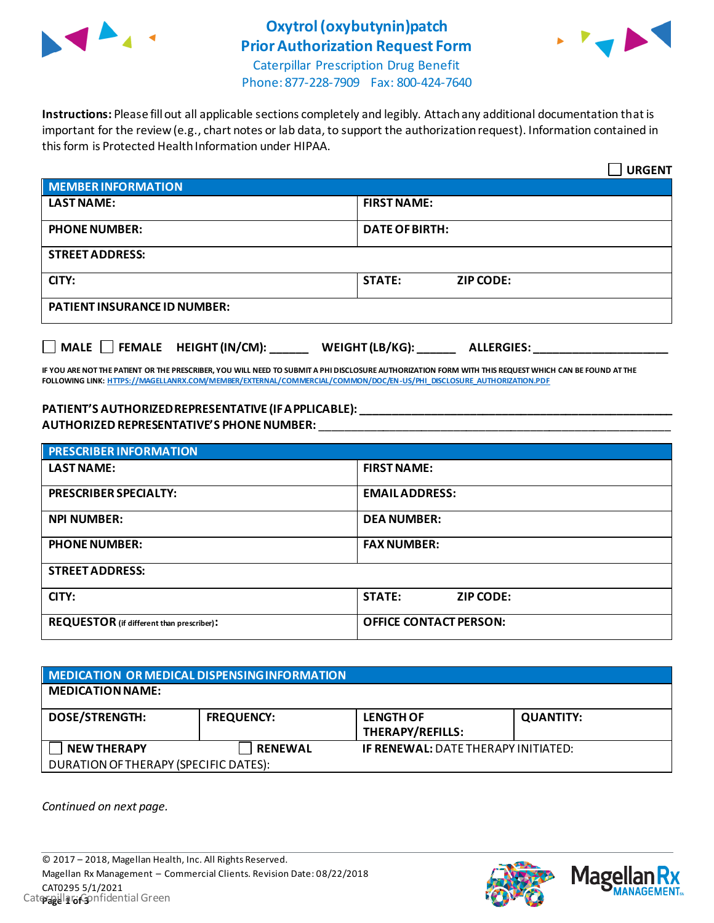

## **Oxytrol(oxybutynin)patch Prior Authorization Request Form**



Caterpillar Prescription Drug Benefit Phone: 877-228-7909 Fax: 800-424-7640

**Instructions:** Please fill out all applicable sections completely and legibly. Attach any additional documentation that is important for the review (e.g., chart notes or lab data, to support the authorization request). Information contained in this form is Protected Health Information under HIPAA.

|                                                                                   | <b>URGENT</b>                     |  |  |
|-----------------------------------------------------------------------------------|-----------------------------------|--|--|
| <b>MEMBER INFORMATION</b>                                                         |                                   |  |  |
| <b>LAST NAME:</b>                                                                 | <b>FIRST NAME:</b>                |  |  |
| <b>PHONE NUMBER:</b>                                                              | <b>DATE OF BIRTH:</b>             |  |  |
| <b>STREET ADDRESS:</b>                                                            |                                   |  |  |
| CITY:                                                                             | <b>STATE:</b><br><b>ZIP CODE:</b> |  |  |
| <b>PATIENT INSURANCE ID NUMBER:</b>                                               |                                   |  |  |
| $\Box$ MALE $\Box$ FEMALE HEIGHT (IN/CM):<br>WEIGHT (LB/KG):<br><b>ALLERGIES:</b> |                                   |  |  |

**IF YOU ARE NOT THE PATIENT OR THE PRESCRIBER, YOU WILL NEED TO SUBMIT A PHI DISCLOSURE AUTHORIZATION FORM WITH THIS REQUEST WHICH CAN BE FOUND AT THE FOLLOWING LINK[: HTTPS://MAGELLANRX.COM/MEMBER/EXTERNAL/COMMERCIAL/COMMON/DOC/EN-US/PHI\\_DISCLOSURE\\_AUTHORIZATION.PDF](https://magellanrx.com/member/external/commercial/common/doc/en-us/PHI_Disclosure_Authorization.pdf)**

## **PATIENT'S AUTHORIZED REPRESENTATIVE (IF APPLICABLE): \_\_\_\_\_\_\_\_\_\_\_\_\_\_\_\_\_\_\_\_\_\_\_\_\_\_\_\_\_\_\_\_\_\_\_\_\_\_\_\_\_\_\_\_\_\_\_\_\_ AUTHORIZED REPRESENTATIVE'S PHONE NUMBER:** \_\_\_\_\_\_\_\_\_\_\_\_\_\_\_\_\_\_\_\_\_\_\_\_\_\_\_\_\_\_\_\_\_\_\_\_\_\_\_\_\_\_\_\_\_\_\_\_\_\_\_\_\_\_\_

| <b>PRESCRIBER INFORMATION</b>             |                               |  |  |
|-------------------------------------------|-------------------------------|--|--|
| <b>LAST NAME:</b>                         | <b>FIRST NAME:</b>            |  |  |
| <b>PRESCRIBER SPECIALTY:</b>              | <b>EMAILADDRESS:</b>          |  |  |
| <b>NPI NUMBER:</b>                        | <b>DEA NUMBER:</b>            |  |  |
| <b>PHONE NUMBER:</b>                      | <b>FAX NUMBER:</b>            |  |  |
| <b>STREET ADDRESS:</b>                    |                               |  |  |
| CITY:                                     | <b>STATE:</b><br>ZIP CODE:    |  |  |
| REQUESTOR (if different than prescriber): | <b>OFFICE CONTACT PERSON:</b> |  |  |

| MEDICATION OR MEDICAL DISPENSING INFORMATION |                   |                                            |                  |  |  |
|----------------------------------------------|-------------------|--------------------------------------------|------------------|--|--|
| <b>MEDICATION NAME:</b>                      |                   |                                            |                  |  |  |
| <b>DOSE/STRENGTH:</b>                        | <b>FREQUENCY:</b> | <b>LENGTH OF</b><br>THERAPY/REFILLS:       | <b>QUANTITY:</b> |  |  |
| <b>NEW THERAPY</b>                           | <b>RENEWAL</b>    | <b>IF RENEWAL: DATE THERAPY INITIATED:</b> |                  |  |  |
| DURATION OF THERAPY (SPECIFIC DATES):        |                   |                                            |                  |  |  |

*Continued on next page.*



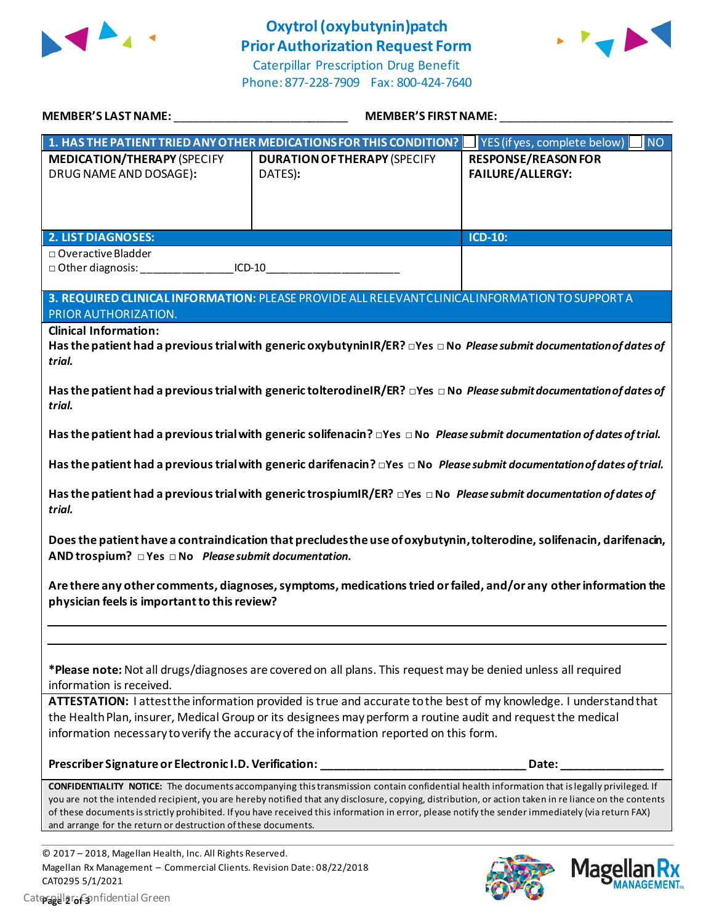

## **Oxytrol(oxybutynin)patch Prior Authorization Request Form**

Caterpillar Prescription Drug Benefit Phone: 877-228-7909 Fax: 800-424-7640



| <b>MEMBER'S LAST NAME:</b>                                                                                                                                                                                                                                                                                                                                                                                                                                                                                                      | <b>MEMBER'S FIRST NAME:</b>                                                                                                       |                                                       |  |  |
|---------------------------------------------------------------------------------------------------------------------------------------------------------------------------------------------------------------------------------------------------------------------------------------------------------------------------------------------------------------------------------------------------------------------------------------------------------------------------------------------------------------------------------|-----------------------------------------------------------------------------------------------------------------------------------|-------------------------------------------------------|--|--|
|                                                                                                                                                                                                                                                                                                                                                                                                                                                                                                                                 | 1. HAS THE PATIENT TRIED ANY OTHER MEDICATIONS FOR THIS CONDITION?                                                                | YES (if yes, complete below)<br><b>NO</b>             |  |  |
| <b>MEDICATION/THERAPY (SPECIFY</b><br>DRUG NAME AND DOSAGE):                                                                                                                                                                                                                                                                                                                                                                                                                                                                    | <b>DURATION OF THERAPY (SPECIFY</b><br>DATES):                                                                                    | <b>RESPONSE/REASON FOR</b><br><b>FAILURE/ALLERGY:</b> |  |  |
| <b>2. LIST DIAGNOSES:</b>                                                                                                                                                                                                                                                                                                                                                                                                                                                                                                       |                                                                                                                                   | <b>ICD-10:</b>                                        |  |  |
| $\Box$ Overactive Bladder<br>$ICD-10$                                                                                                                                                                                                                                                                                                                                                                                                                                                                                           |                                                                                                                                   |                                                       |  |  |
| PRIOR AUTHORIZATION.                                                                                                                                                                                                                                                                                                                                                                                                                                                                                                            | 3. REQUIRED CLINICAL INFORMATION: PLEASE PROVIDE ALL RELEVANT CLINICAL INFORMATION TO SUPPORT A                                   |                                                       |  |  |
| <b>Clinical Information:</b><br>Has the patient had a previous trial with generic oxybutyninIR/ER? $\Box$ Yes $\Box$ No Please submit documentation of dates of<br>trial.                                                                                                                                                                                                                                                                                                                                                       |                                                                                                                                   |                                                       |  |  |
| Has the patient had a previous trial with generic tolterodinel R/ER? $\Box$ Yes $\Box$ No Please submit documentation of dates of<br>trial.                                                                                                                                                                                                                                                                                                                                                                                     |                                                                                                                                   |                                                       |  |  |
| Has the patient had a previous trial with generic solifenacin? $\Box$ Yes $\Box$ No Please submit documentation of dates of trial.                                                                                                                                                                                                                                                                                                                                                                                              |                                                                                                                                   |                                                       |  |  |
|                                                                                                                                                                                                                                                                                                                                                                                                                                                                                                                                 | Has the patient had a previous trial with generic darifenacin? <sub>Ilfer</sub> No Please submit documentation of dates of trial. |                                                       |  |  |
| Has the patient had a previous trial with generic trospiumIR/ER? $\Box$ Yes $\Box$ No Please submit documentation of dates of<br>trial.                                                                                                                                                                                                                                                                                                                                                                                         |                                                                                                                                   |                                                       |  |  |
| Does the patient have a contraindication that precludes the use of oxybutynin, tolterodine, solifenacin, darifenacin,<br>AND trospium? $\Box$ Yes $\Box$ No Please submit documentation.                                                                                                                                                                                                                                                                                                                                        |                                                                                                                                   |                                                       |  |  |
| Are there any other comments, diagnoses, symptoms, medications tried or failed, and/or any other information the<br>physician feels is important to this review?                                                                                                                                                                                                                                                                                                                                                                |                                                                                                                                   |                                                       |  |  |
|                                                                                                                                                                                                                                                                                                                                                                                                                                                                                                                                 |                                                                                                                                   |                                                       |  |  |
| *Please note: Not all drugs/diagnoses are covered on all plans. This request may be denied unless all required<br>information is received.                                                                                                                                                                                                                                                                                                                                                                                      |                                                                                                                                   |                                                       |  |  |
| ATTESTATION: I attest the information provided is true and accurate to the best of my knowledge. I understand that<br>the Health Plan, insurer, Medical Group or its designees may perform a routine audit and request the medical<br>information necessary to verify the accuracy of the information reported on this form.                                                                                                                                                                                                    |                                                                                                                                   |                                                       |  |  |
| Prescriber Signature or Electronic I.D. Verification:                                                                                                                                                                                                                                                                                                                                                                                                                                                                           |                                                                                                                                   | Date:                                                 |  |  |
| <b>CONFIDENTIALITY NOTICE:</b> The documents accompanying this transmission contain confidential health information that is legally privileged. If<br>you are not the intended recipient, you are hereby notified that any disclosure, copying, distribution, or action taken in re liance on the contents<br>of these documents is strictly prohibited. If you have received this information in error, please notify the sender immediately (via return FAX)<br>and arrange for the return or destruction of these documents. |                                                                                                                                   |                                                       |  |  |

© 2017 – 2018, Magellan Health, Inc. All Rights Reserved. Magellan Rx Management – Commercial Clients. Revision Date: 08/22/2018 CAT0295 5/1/2021 Caterpillar: Confidential Green **Page 2 of 3**